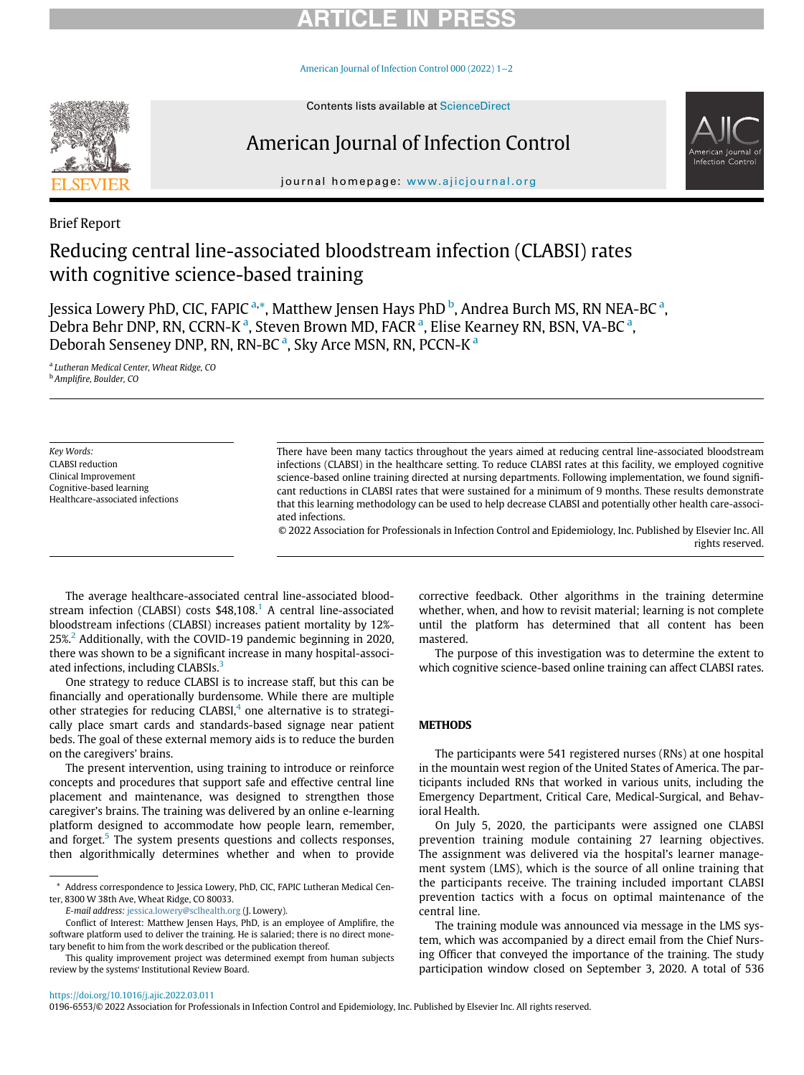## RTICLE IN PR

[American Journal of Infection Control 000 \(2022\) 1](https://doi.org/10.1016/j.ajic.2022.03.011)−2



# American Journal of Infection Control



journal homepage: [www.ajicjournal.org](http://www.ajicjournal.org)

Brief Report

## Reducing central line-associated bloodstream infection (CLABSI) rates with cognitive science-based training

Jessica Lowery PhD, CIC, FAPIC <sup>[a,](#page-0-0)\*</sup>, Matthew Jensen Hays PhD <sup>[b](#page-0-2)</sup>, Andre[a](#page-0-0) Burch MS, RN NEA-BC <sup>a</sup>, Debr[a](#page-0-0) Behr DNP, RN, CCRN-K<sup>a</sup>, Steven Brown MD, FACR<sup>a</sup>, Elise Kearney RN, BSN, VA-BC<sup>a</sup>, Debor[a](#page-0-0)h Senseney DNP, RN, RN-BC<sup>a</sup>, Sky Arce MSN, RN, PCCN-K<sup>a</sup>

<span id="page-0-2"></span><span id="page-0-0"></span><sup>a</sup> Lutheran Medical Center, Wheat Ridge, CO <sup>b</sup> Amplifire, Boulder, CO

Key Words: CLABSI reduction Clinical Improvement Cognitive-based learning Healthcare-associated infections

There have been many tactics throughout the years aimed at reducing central line-associated bloodstream infections (CLABSI) in the healthcare setting. To reduce CLABSI rates at this facility, we employed cognitive science-based online training directed at nursing departments. Following implementation, we found significant reductions in CLABSI rates that were sustained for a minimum of 9 months. These results demonstrate that this learning methodology can be used to help decrease CLABSI and potentially other health care-associated infections.

© 2022 Association for Professionals in Infection Control and Epidemiology, Inc. Published by Elsevier Inc. All rights reserved.

The average healthcare-associated central line-associated blood-stream infection (CLABSI) costs \$48,[1](#page-1-0)08.<sup>1</sup> A central line-associated bloodstream infections (CLABSI) increases patient mortality by 12%-  $25\%$  $25\%$ <sup>2</sup> Additionally, with the COVID-19 pandemic beginning in 2020, there was shown to be a significant increase in many hospital-associ-ated infections, including CLABSIs.<sup>[3](#page-1-2)</sup>

One strategy to reduce CLABSI is to increase staff, but this can be financially and operationally burdensome. While there are multiple other strategies for reducing  $CLABSI<sub>1</sub><sup>4</sup>$  $CLABSI<sub>1</sub><sup>4</sup>$  $CLABSI<sub>1</sub><sup>4</sup>$  one alternative is to strategically place smart cards and standards-based signage near patient beds. The goal of these external memory aids is to reduce the burden on the caregivers' brains.

The present intervention, using training to introduce or reinforce concepts and procedures that support safe and effective central line placement and maintenance, was designed to strengthen those caregiver's brains. The training was delivered by an online e-learning platform designed to accommodate how people learn, remember, and forget.<sup>[5](#page-1-4)</sup> The system presents questions and collects responses, then algorithmically determines whether and when to provide corrective feedback. Other algorithms in the training determine whether, when, and how to revisit material; learning is not complete until the platform has determined that all content has been mastered.

The purpose of this investigation was to determine the extent to which cognitive science-based online training can affect CLABSI rates.

The participants were 541 registered nurses (RNs) at one hospital in the mountain west region of the United States of America. The participants included RNs that worked in various units, including the Emergency Department, Critical Care, Medical-Surgical, and Behavioral Health.

On July 5, 2020, the participants were assigned one CLABSI prevention training module containing 27 learning objectives. The assignment was delivered via the hospital's learner management system (LMS), which is the source of all online training that the participants receive. The training included important CLABSI prevention tactics with a focus on optimal maintenance of the central line.

The training module was announced via message in the LMS system, which was accompanied by a direct email from the Chief Nursing Officer that conveyed the importance of the training. The study participation window closed on September 3, 2020. A total of 536

### <https://doi.org/10.1016/j.ajic.2022.03.011>

0196-6553/© 2022 Association for Professionals in Infection Control and Epidemiology, Inc. Published by Elsevier Inc. All rights reserved.

<span id="page-0-1"></span><sup>\*</sup> Address correspondence to Jessica Lowery, PhD, CIC, FAPIC Lutheran Medical Center, 8300 W 38th Ave, Wheat Ridge, CO 80033.

E-mail address: [jessica.lowery@sclhealth.org](mailto:jessica.lowery@sclhealth.org) (J. Lowery).

Conflict of Interest: Matthew Jensen Hays, PhD, is an employee of Amplifire, the software platform used to deliver the training. He is salaried; there is no direct monetary benefit to him from the work described or the publication thereof.

This quality improvement project was determined exempt from human subjects review by the systems' Institutional Review Board.